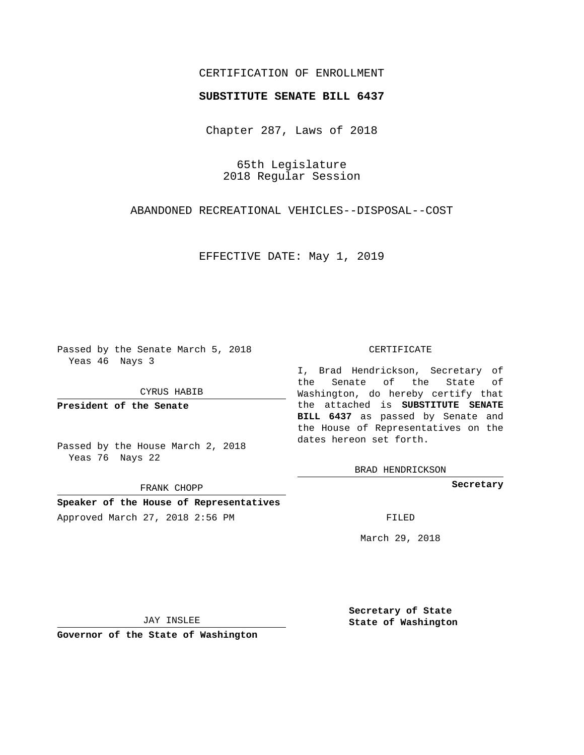# CERTIFICATION OF ENROLLMENT

### **SUBSTITUTE SENATE BILL 6437**

Chapter 287, Laws of 2018

65th Legislature 2018 Regular Session

ABANDONED RECREATIONAL VEHICLES--DISPOSAL--COST

EFFECTIVE DATE: May 1, 2019

Passed by the Senate March 5, 2018 Yeas 46 Nays 3

CYRUS HABIB

**President of the Senate**

Passed by the House March 2, 2018 Yeas 76 Nays 22

FRANK CHOPP

**Speaker of the House of Representatives** Approved March 27, 2018 2:56 PM FILED

#### CERTIFICATE

I, Brad Hendrickson, Secretary of the Senate of the State of Washington, do hereby certify that the attached is **SUBSTITUTE SENATE BILL 6437** as passed by Senate and the House of Representatives on the dates hereon set forth.

BRAD HENDRICKSON

**Secretary**

March 29, 2018

JAY INSLEE

**Governor of the State of Washington**

**Secretary of State State of Washington**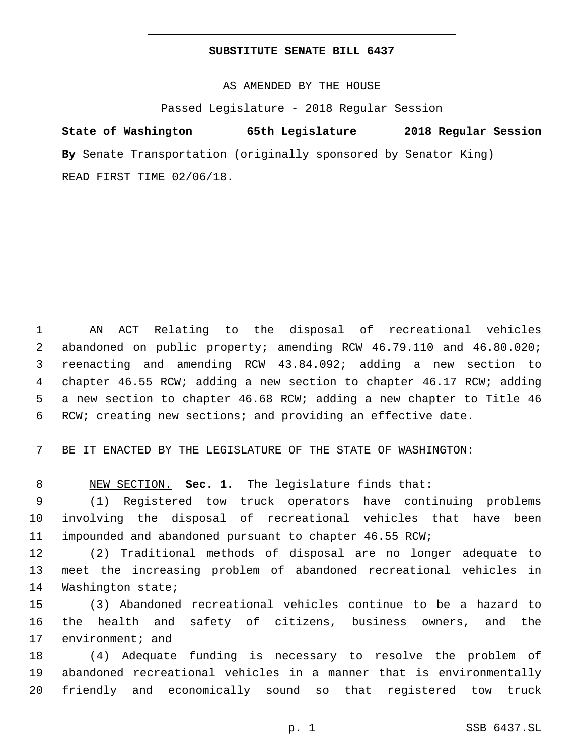## **SUBSTITUTE SENATE BILL 6437**

AS AMENDED BY THE HOUSE

Passed Legislature - 2018 Regular Session

# **State of Washington 65th Legislature 2018 Regular Session**

**By** Senate Transportation (originally sponsored by Senator King) READ FIRST TIME 02/06/18.

 AN ACT Relating to the disposal of recreational vehicles abandoned on public property; amending RCW 46.79.110 and 46.80.020; reenacting and amending RCW 43.84.092; adding a new section to chapter 46.55 RCW; adding a new section to chapter 46.17 RCW; adding a new section to chapter 46.68 RCW; adding a new chapter to Title 46 RCW; creating new sections; and providing an effective date.

BE IT ENACTED BY THE LEGISLATURE OF THE STATE OF WASHINGTON:

NEW SECTION. **Sec. 1.** The legislature finds that:

 (1) Registered tow truck operators have continuing problems involving the disposal of recreational vehicles that have been impounded and abandoned pursuant to chapter 46.55 RCW;

 (2) Traditional methods of disposal are no longer adequate to meet the increasing problem of abandoned recreational vehicles in 14 Washington state;

 (3) Abandoned recreational vehicles continue to be a hazard to the health and safety of citizens, business owners, and the 17 environment; and

 (4) Adequate funding is necessary to resolve the problem of abandoned recreational vehicles in a manner that is environmentally friendly and economically sound so that registered tow truck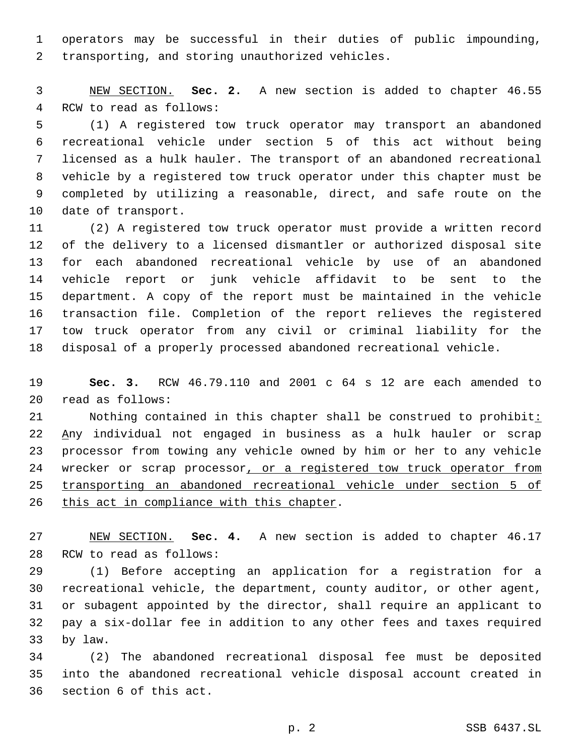operators may be successful in their duties of public impounding, 2 transporting, and storing unauthorized vehicles.

 NEW SECTION. **Sec. 2.** A new section is added to chapter 46.55 4 RCW to read as follows:

 (1) A registered tow truck operator may transport an abandoned recreational vehicle under section 5 of this act without being licensed as a hulk hauler. The transport of an abandoned recreational vehicle by a registered tow truck operator under this chapter must be completed by utilizing a reasonable, direct, and safe route on the 10 date of transport.

 (2) A registered tow truck operator must provide a written record of the delivery to a licensed dismantler or authorized disposal site for each abandoned recreational vehicle by use of an abandoned vehicle report or junk vehicle affidavit to be sent to the department. A copy of the report must be maintained in the vehicle transaction file. Completion of the report relieves the registered tow truck operator from any civil or criminal liability for the disposal of a properly processed abandoned recreational vehicle.

 **Sec. 3.** RCW 46.79.110 and 2001 c 64 s 12 are each amended to read as follows:20

21 Nothing contained in this chapter shall be construed to prohibit: Any individual not engaged in business as a hulk hauler or scrap processor from towing any vehicle owned by him or her to any vehicle 24 wrecker or scrap processor, or a registered tow truck operator from transporting an abandoned recreational vehicle under section 5 of 26 this act in compliance with this chapter.

 NEW SECTION. **Sec. 4.** A new section is added to chapter 46.17 28 RCW to read as follows:

 (1) Before accepting an application for a registration for a recreational vehicle, the department, county auditor, or other agent, or subagent appointed by the director, shall require an applicant to pay a six-dollar fee in addition to any other fees and taxes required 33 by law.

 (2) The abandoned recreational disposal fee must be deposited into the abandoned recreational vehicle disposal account created in 36 section 6 of this act.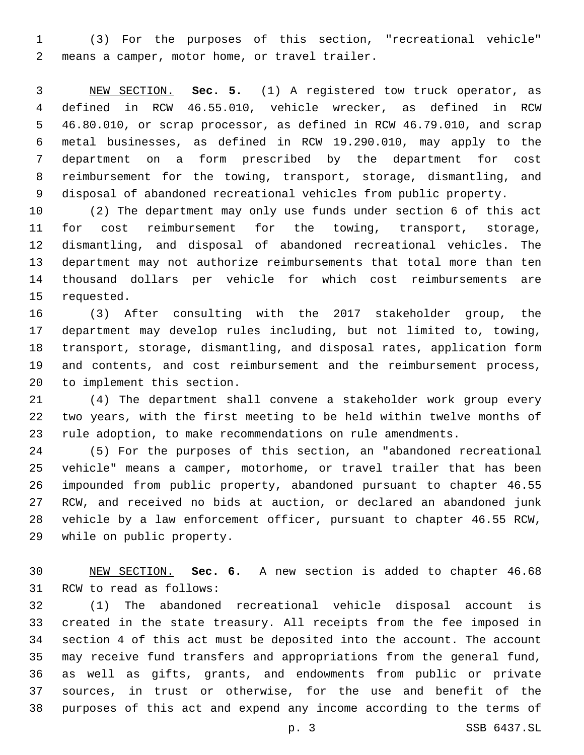(3) For the purposes of this section, "recreational vehicle" means a camper, motor home, or travel trailer.2

 NEW SECTION. **Sec. 5.** (1) A registered tow truck operator, as defined in RCW 46.55.010, vehicle wrecker, as defined in RCW 46.80.010, or scrap processor, as defined in RCW 46.79.010, and scrap metal businesses, as defined in RCW 19.290.010, may apply to the department on a form prescribed by the department for cost reimbursement for the towing, transport, storage, dismantling, and disposal of abandoned recreational vehicles from public property.

 (2) The department may only use funds under section 6 of this act for cost reimbursement for the towing, transport, storage, dismantling, and disposal of abandoned recreational vehicles. The department may not authorize reimbursements that total more than ten thousand dollars per vehicle for which cost reimbursements are 15 requested.

 (3) After consulting with the 2017 stakeholder group, the department may develop rules including, but not limited to, towing, transport, storage, dismantling, and disposal rates, application form and contents, and cost reimbursement and the reimbursement process, 20 to implement this section.

 (4) The department shall convene a stakeholder work group every two years, with the first meeting to be held within twelve months of rule adoption, to make recommendations on rule amendments.

 (5) For the purposes of this section, an "abandoned recreational vehicle" means a camper, motorhome, or travel trailer that has been impounded from public property, abandoned pursuant to chapter 46.55 RCW, and received no bids at auction, or declared an abandoned junk vehicle by a law enforcement officer, pursuant to chapter 46.55 RCW, 29 while on public property.

 NEW SECTION. **Sec. 6.** A new section is added to chapter 46.68 31 RCW to read as follows:

 (1) The abandoned recreational vehicle disposal account is created in the state treasury. All receipts from the fee imposed in section 4 of this act must be deposited into the account. The account may receive fund transfers and appropriations from the general fund, as well as gifts, grants, and endowments from public or private sources, in trust or otherwise, for the use and benefit of the purposes of this act and expend any income according to the terms of

p. 3 SSB 6437.SL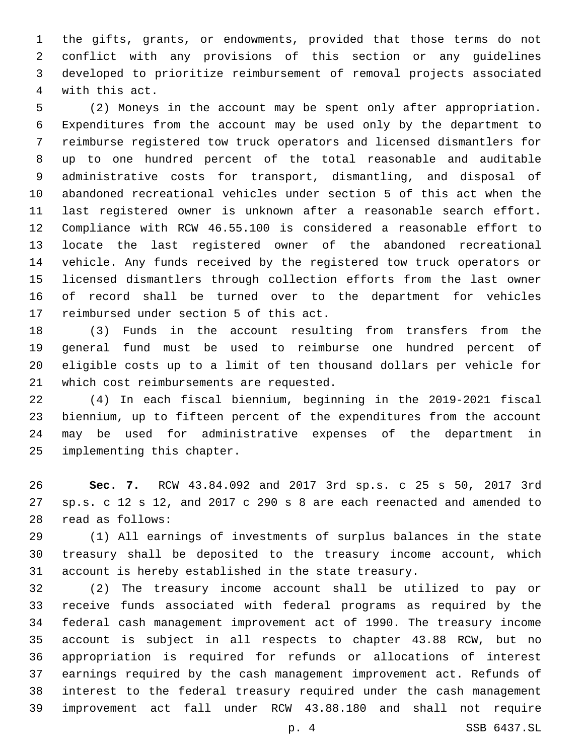the gifts, grants, or endowments, provided that those terms do not conflict with any provisions of this section or any guidelines developed to prioritize reimbursement of removal projects associated 4 with this act.

 (2) Moneys in the account may be spent only after appropriation. Expenditures from the account may be used only by the department to reimburse registered tow truck operators and licensed dismantlers for up to one hundred percent of the total reasonable and auditable administrative costs for transport, dismantling, and disposal of abandoned recreational vehicles under section 5 of this act when the last registered owner is unknown after a reasonable search effort. Compliance with RCW 46.55.100 is considered a reasonable effort to locate the last registered owner of the abandoned recreational vehicle. Any funds received by the registered tow truck operators or licensed dismantlers through collection efforts from the last owner of record shall be turned over to the department for vehicles 17 reimbursed under section 5 of this act.

 (3) Funds in the account resulting from transfers from the general fund must be used to reimburse one hundred percent of eligible costs up to a limit of ten thousand dollars per vehicle for 21 which cost reimbursements are requested.

 (4) In each fiscal biennium, beginning in the 2019-2021 fiscal biennium, up to fifteen percent of the expenditures from the account may be used for administrative expenses of the department in 25 implementing this chapter.

 **Sec. 7.** RCW 43.84.092 and 2017 3rd sp.s. c 25 s 50, 2017 3rd sp.s. c 12 s 12, and 2017 c 290 s 8 are each reenacted and amended to read as follows:28

 (1) All earnings of investments of surplus balances in the state treasury shall be deposited to the treasury income account, which account is hereby established in the state treasury.

 (2) The treasury income account shall be utilized to pay or receive funds associated with federal programs as required by the federal cash management improvement act of 1990. The treasury income account is subject in all respects to chapter 43.88 RCW, but no appropriation is required for refunds or allocations of interest earnings required by the cash management improvement act. Refunds of interest to the federal treasury required under the cash management improvement act fall under RCW 43.88.180 and shall not require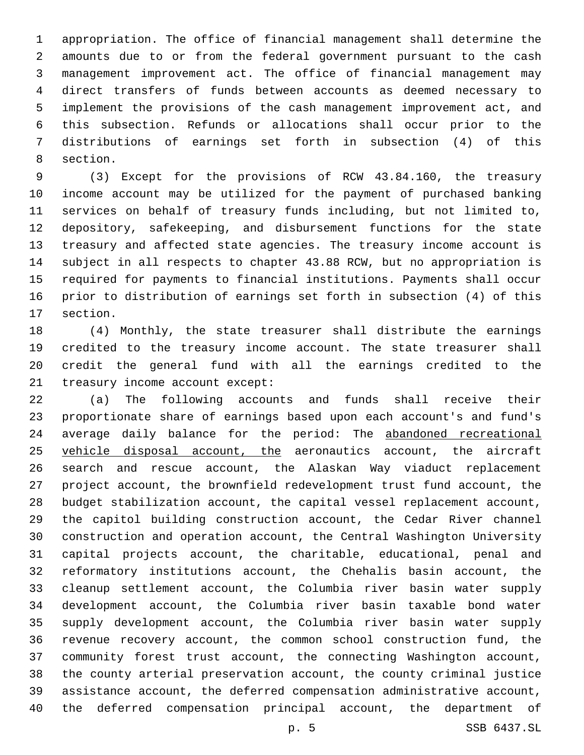appropriation. The office of financial management shall determine the amounts due to or from the federal government pursuant to the cash management improvement act. The office of financial management may direct transfers of funds between accounts as deemed necessary to implement the provisions of the cash management improvement act, and this subsection. Refunds or allocations shall occur prior to the distributions of earnings set forth in subsection (4) of this 8 section.

 (3) Except for the provisions of RCW 43.84.160, the treasury income account may be utilized for the payment of purchased banking services on behalf of treasury funds including, but not limited to, depository, safekeeping, and disbursement functions for the state treasury and affected state agencies. The treasury income account is subject in all respects to chapter 43.88 RCW, but no appropriation is required for payments to financial institutions. Payments shall occur prior to distribution of earnings set forth in subsection (4) of this 17 section.

 (4) Monthly, the state treasurer shall distribute the earnings credited to the treasury income account. The state treasurer shall credit the general fund with all the earnings credited to the 21 treasury income account except:

 (a) The following accounts and funds shall receive their proportionate share of earnings based upon each account's and fund's average daily balance for the period: The abandoned recreational 25 vehicle disposal account, the aeronautics account, the aircraft search and rescue account, the Alaskan Way viaduct replacement project account, the brownfield redevelopment trust fund account, the budget stabilization account, the capital vessel replacement account, the capitol building construction account, the Cedar River channel construction and operation account, the Central Washington University capital projects account, the charitable, educational, penal and reformatory institutions account, the Chehalis basin account, the cleanup settlement account, the Columbia river basin water supply development account, the Columbia river basin taxable bond water supply development account, the Columbia river basin water supply revenue recovery account, the common school construction fund, the community forest trust account, the connecting Washington account, the county arterial preservation account, the county criminal justice assistance account, the deferred compensation administrative account, the deferred compensation principal account, the department of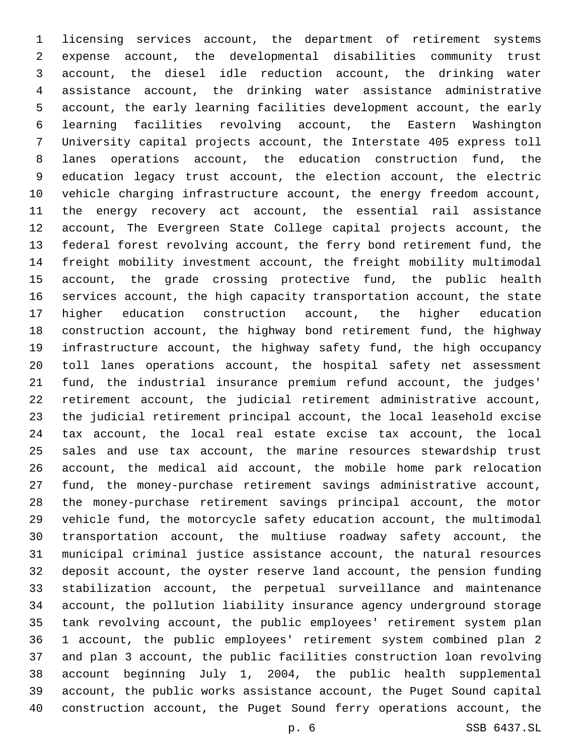licensing services account, the department of retirement systems expense account, the developmental disabilities community trust account, the diesel idle reduction account, the drinking water assistance account, the drinking water assistance administrative account, the early learning facilities development account, the early learning facilities revolving account, the Eastern Washington University capital projects account, the Interstate 405 express toll lanes operations account, the education construction fund, the education legacy trust account, the election account, the electric vehicle charging infrastructure account, the energy freedom account, the energy recovery act account, the essential rail assistance account, The Evergreen State College capital projects account, the federal forest revolving account, the ferry bond retirement fund, the freight mobility investment account, the freight mobility multimodal account, the grade crossing protective fund, the public health services account, the high capacity transportation account, the state higher education construction account, the higher education construction account, the highway bond retirement fund, the highway infrastructure account, the highway safety fund, the high occupancy toll lanes operations account, the hospital safety net assessment fund, the industrial insurance premium refund account, the judges' retirement account, the judicial retirement administrative account, the judicial retirement principal account, the local leasehold excise tax account, the local real estate excise tax account, the local sales and use tax account, the marine resources stewardship trust account, the medical aid account, the mobile home park relocation fund, the money-purchase retirement savings administrative account, the money-purchase retirement savings principal account, the motor vehicle fund, the motorcycle safety education account, the multimodal transportation account, the multiuse roadway safety account, the municipal criminal justice assistance account, the natural resources deposit account, the oyster reserve land account, the pension funding stabilization account, the perpetual surveillance and maintenance account, the pollution liability insurance agency underground storage tank revolving account, the public employees' retirement system plan 1 account, the public employees' retirement system combined plan 2 and plan 3 account, the public facilities construction loan revolving account beginning July 1, 2004, the public health supplemental account, the public works assistance account, the Puget Sound capital construction account, the Puget Sound ferry operations account, the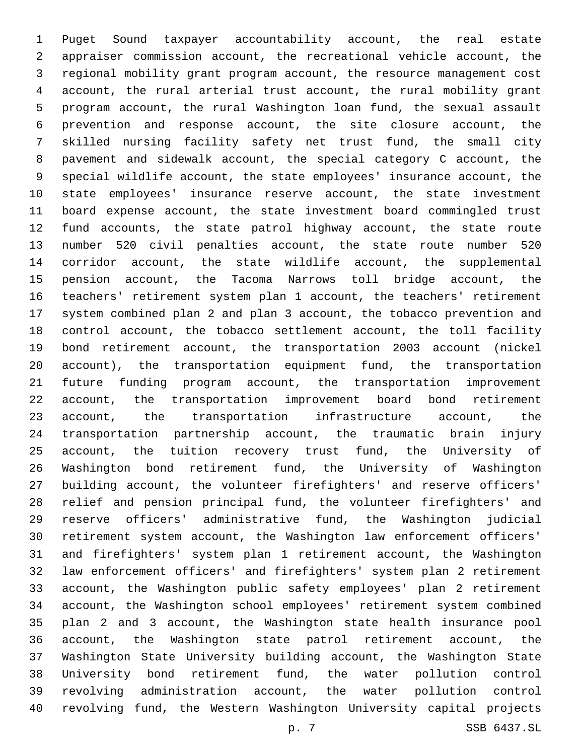Puget Sound taxpayer accountability account, the real estate appraiser commission account, the recreational vehicle account, the regional mobility grant program account, the resource management cost account, the rural arterial trust account, the rural mobility grant program account, the rural Washington loan fund, the sexual assault prevention and response account, the site closure account, the skilled nursing facility safety net trust fund, the small city pavement and sidewalk account, the special category C account, the special wildlife account, the state employees' insurance account, the state employees' insurance reserve account, the state investment board expense account, the state investment board commingled trust fund accounts, the state patrol highway account, the state route number 520 civil penalties account, the state route number 520 corridor account, the state wildlife account, the supplemental pension account, the Tacoma Narrows toll bridge account, the teachers' retirement system plan 1 account, the teachers' retirement system combined plan 2 and plan 3 account, the tobacco prevention and control account, the tobacco settlement account, the toll facility bond retirement account, the transportation 2003 account (nickel account), the transportation equipment fund, the transportation future funding program account, the transportation improvement account, the transportation improvement board bond retirement account, the transportation infrastructure account, the transportation partnership account, the traumatic brain injury account, the tuition recovery trust fund, the University of Washington bond retirement fund, the University of Washington building account, the volunteer firefighters' and reserve officers' relief and pension principal fund, the volunteer firefighters' and reserve officers' administrative fund, the Washington judicial retirement system account, the Washington law enforcement officers' and firefighters' system plan 1 retirement account, the Washington law enforcement officers' and firefighters' system plan 2 retirement account, the Washington public safety employees' plan 2 retirement account, the Washington school employees' retirement system combined plan 2 and 3 account, the Washington state health insurance pool account, the Washington state patrol retirement account, the Washington State University building account, the Washington State University bond retirement fund, the water pollution control revolving administration account, the water pollution control revolving fund, the Western Washington University capital projects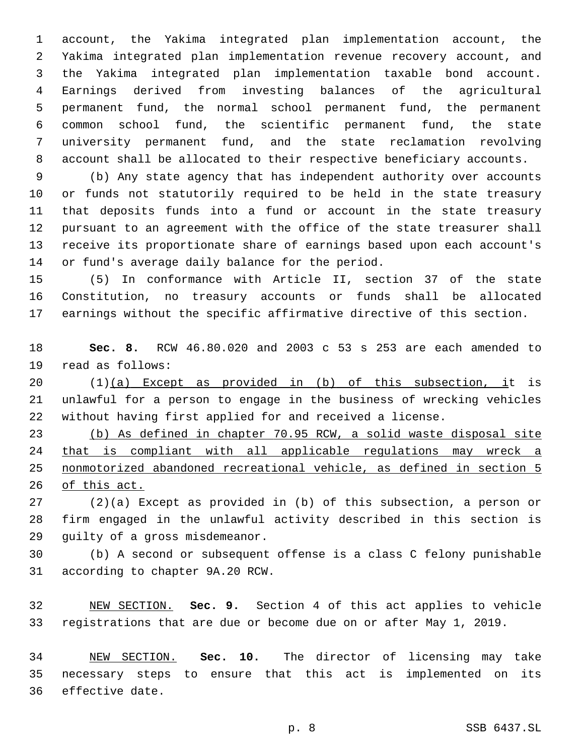account, the Yakima integrated plan implementation account, the Yakima integrated plan implementation revenue recovery account, and the Yakima integrated plan implementation taxable bond account. Earnings derived from investing balances of the agricultural permanent fund, the normal school permanent fund, the permanent common school fund, the scientific permanent fund, the state university permanent fund, and the state reclamation revolving account shall be allocated to their respective beneficiary accounts.

 (b) Any state agency that has independent authority over accounts or funds not statutorily required to be held in the state treasury that deposits funds into a fund or account in the state treasury pursuant to an agreement with the office of the state treasurer shall receive its proportionate share of earnings based upon each account's 14 or fund's average daily balance for the period.

 (5) In conformance with Article II, section 37 of the state Constitution, no treasury accounts or funds shall be allocated earnings without the specific affirmative directive of this section.

 **Sec. 8.** RCW 46.80.020 and 2003 c 53 s 253 are each amended to 19 read as follows:

20  $(1)(a)$  Except as provided in (b) of this subsection, it is unlawful for a person to engage in the business of wrecking vehicles without having first applied for and received a license.

 (b) As defined in chapter 70.95 RCW, a solid waste disposal site 24 that is compliant with all applicable regulations may wreck a nonmotorized abandoned recreational vehicle, as defined in section 5 of this act.

 (2)(a) Except as provided in (b) of this subsection, a person or firm engaged in the unlawful activity described in this section is 29 guilty of a gross misdemeanor.

 (b) A second or subsequent offense is a class C felony punishable 31 according to chapter 9A.20 RCW.

 NEW SECTION. **Sec. 9.** Section 4 of this act applies to vehicle registrations that are due or become due on or after May 1, 2019.

 NEW SECTION. **Sec. 10.** The director of licensing may take necessary steps to ensure that this act is implemented on its effective date.